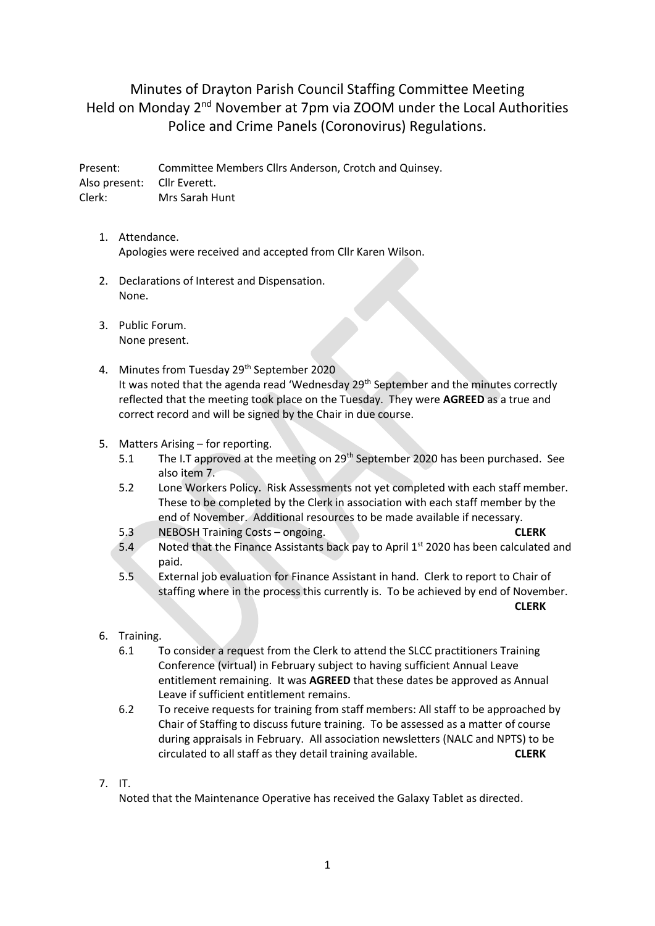Minutes of Drayton Parish Council Staffing Committee Meeting Held on Monday 2nd November at 7pm via ZOOM under the Local Authorities Police and Crime Panels (Coronovirus) Regulations.

Present: Committee Members Cllrs Anderson, Crotch and Quinsey. Also present: Cllr Everett. Clerk: Mrs Sarah Hunt

- 1. Attendance. Apologies were received and accepted from Cllr Karen Wilson.
- 2. Declarations of Interest and Dispensation. None.
- 3. Public Forum. None present.
- 4. Minutes from Tuesday 29<sup>th</sup> September 2020 It was noted that the agenda read 'Wednesday 29<sup>th</sup> September and the minutes correctly reflected that the meeting took place on the Tuesday. They were **AGREED** as a true and correct record and will be signed by the Chair in due course.
- 5. Matters Arising for reporting.
	- 5.1 The I.T approved at the meeting on 29<sup>th</sup> September 2020 has been purchased. See also item 7.
	- 5.2 Lone Workers Policy. Risk Assessments not yet completed with each staff member. These to be completed by the Clerk in association with each staff member by the end of November. Additional resources to be made available if necessary.
	- 5.3 NEBOSH Training Costs ongoing. **CLERK**
	- 5.4 Noted that the Finance Assistants back pay to April 1<sup>st</sup> 2020 has been calculated and paid.
	- 5.5 External job evaluation for Finance Assistant in hand. Clerk to report to Chair of staffing where in the process this currently is. To be achieved by end of November. **CLERK**
- 6. Training.
	- 6.1 To consider a request from the Clerk to attend the SLCC practitioners Training Conference (virtual) in February subject to having sufficient Annual Leave entitlement remaining. It was **AGREED** that these dates be approved as Annual Leave if sufficient entitlement remains.
	- 6.2 To receive requests for training from staff members: All staff to be approached by Chair of Staffing to discuss future training. To be assessed as a matter of course during appraisals in February. All association newsletters (NALC and NPTS) to be circulated to all staff as they detail training available. **CLERK**
- 7. IT.

Noted that the Maintenance Operative has received the Galaxy Tablet as directed.